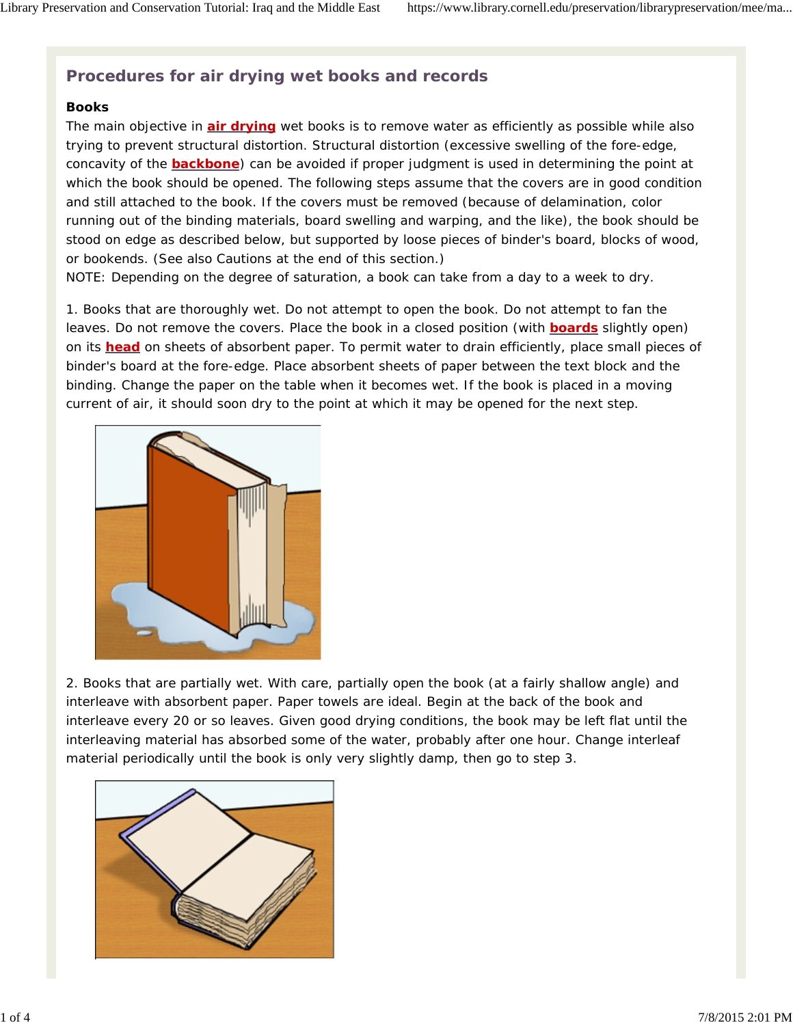# **Procedures for air drying wet books and records**

#### **Books**

The main objective in **air drying** wet books is to remove water as efficiently as possible while also trying to prevent structural distortion. Structural distortion (excessive swelling of the fore-edge, concavity of the **backbone**) can be avoided if proper judgment is used in determining the point at which the book should be opened. The following steps assume that the covers are in good condition and still attached to the book. If the covers must be removed (because of delamination, color running out of the binding materials, board swelling and warping, and the like), the book should be stood on edge as described below, but supported by loose pieces of binder's board, blocks of wood, or bookends. (See also Cautions at the end of this section.)

NOTE: Depending on the degree of saturation, a book can take from a day to a week to dry.

1. *Books that are thoroughly wet*. Do not attempt to open the book. Do not attempt to fan the leaves. Do not remove the covers. Place the book in a closed position (with **boards** slightly open) on its **head** on sheets of absorbent paper. To permit water to drain efficiently, place small pieces of binder's board at the fore-edge. Place absorbent sheets of paper between the text block and the binding. Change the paper on the table when it becomes wet. If the book is placed in a moving current of air, it should soon dry to the point at which it may be opened for the next step.



2. *Books that are partially wet*. With care, partially open the book (at a fairly shallow angle) and interleave with absorbent paper. Paper towels are ideal. Begin at the back of the book and interleave every 20 or so leaves. Given good drying conditions, the book may be left flat until the interleaving material has absorbed some of the water, probably after one hour. Change interleaf material periodically until the book is only very slightly damp, then go to step 3.

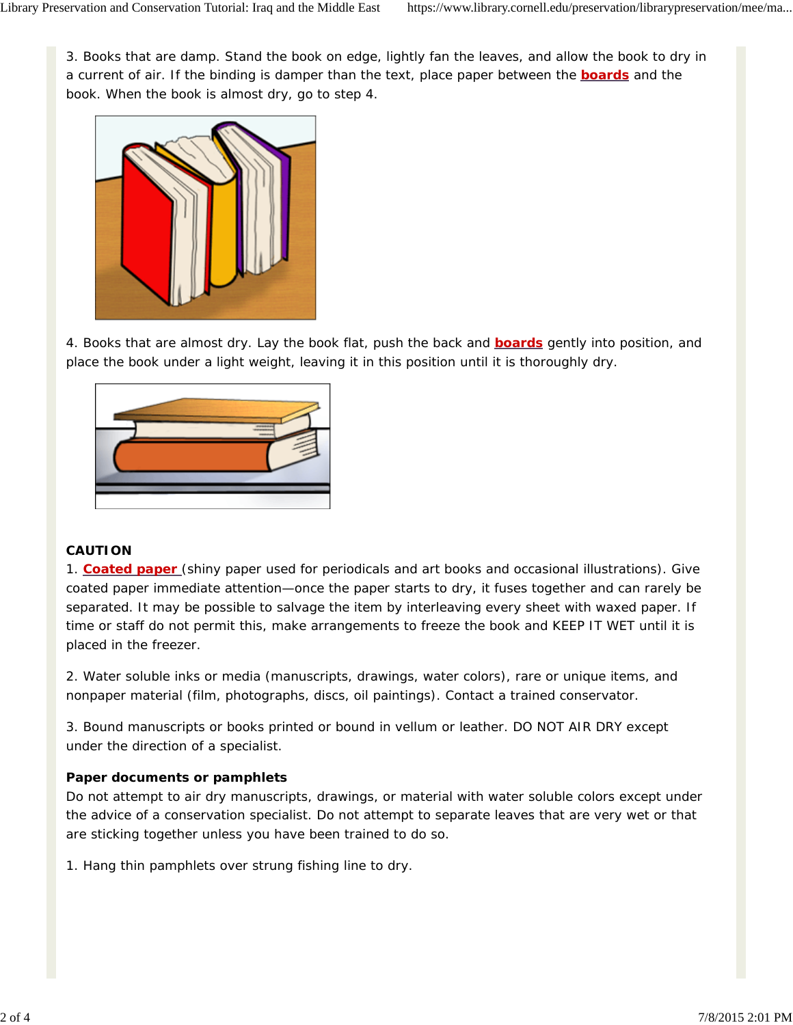3. *Books that are damp*. Stand the book on edge, lightly fan the leaves, and allow the book to dry in a current of air. If the binding is damper than the text, place paper between the **boards** and the book. When the book is almost dry, go to step 4.



4. *Books that are almost dry*. Lay the book flat, push the back and **boards** gently into position, and place the book under a light weight, leaving it in this position until it is thoroughly dry.



## **CAUTION**

1. **Coated paper** (shiny paper used for periodicals and art books and occasional illustrations). Give coated paper immediate attention—once the paper starts to dry, it fuses together and can rarely be separated. It may be possible to salvage the item by interleaving every sheet with waxed paper. If time or staff do not permit this, make arrangements to freeze the book and KEEP IT WET until it is placed in the freezer.

2. Water soluble inks or media (manuscripts, drawings, water colors), rare or unique items, and nonpaper material (film, photographs, discs, oil paintings). Contact a trained conservator.

3. Bound manuscripts or books printed or bound in vellum or leather. DO NOT AIR DRY except under the direction of a specialist.

## **Paper documents or pamphlets**

Do not attempt to air dry manuscripts, drawings, or material with water soluble colors except under the advice of a conservation specialist. Do not attempt to separate leaves that are very wet or that are sticking together unless you have been trained to do so.

1. Hang thin pamphlets over strung fishing line to dry.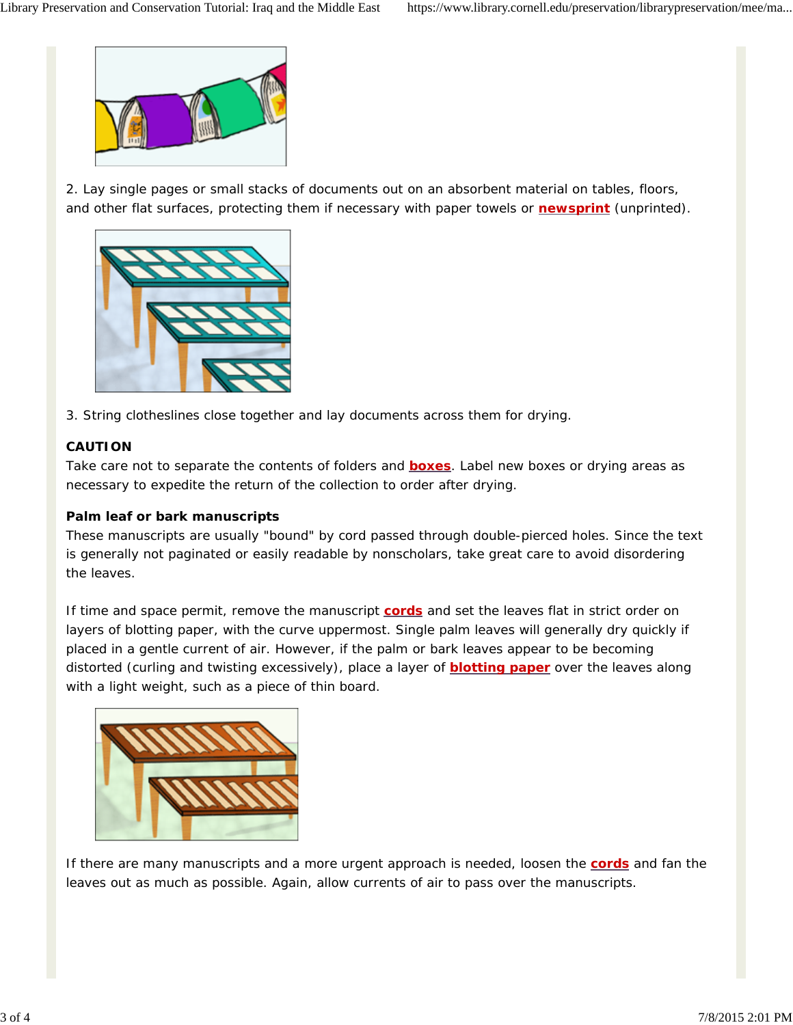

2. Lay single pages or small stacks of documents out on an absorbent material on tables, floors, and other flat surfaces, protecting them if necessary with paper towels or **newsprint** (unprinted).



3. String clotheslines close together and lay documents across them for drying.

## **CAUTION**

Take care not to separate the contents of folders and **boxes**. Label new boxes or drying areas as necessary to expedite the return of the collection to order after drying.

#### **Palm leaf or bark manuscripts**

These manuscripts are usually "bound" by cord passed through double-pierced holes. Since the text is generally not paginated or easily readable by nonscholars, take great care to avoid disordering the leaves.

If time and space permit, remove the manuscript **cords** and set the leaves flat in strict order on layers of blotting paper, with the curve uppermost. Single palm leaves will generally dry quickly if placed in a gentle current of air. However, if the palm or bark leaves appear to be becoming distorted (curling and twisting excessively), place a layer of **blotting paper** over the leaves along with a light weight, such as a piece of thin board.



If there are many manuscripts and a more urgent approach is needed, loosen the **cords** and fan the leaves out as much as possible. Again, allow currents of air to pass over the manuscripts.